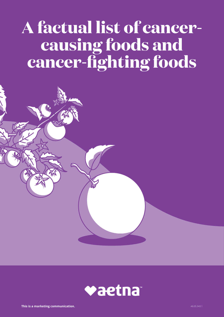# **A factual list of cancercausing foods and cancer-fighting foods**



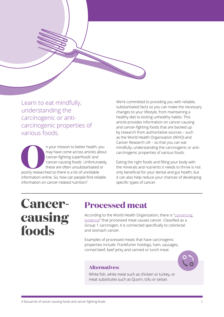

Learn to eat mindfully, understanding the carcinogenic or anticarcinogenic properties of various foods.

In your mission to better health, you<br>
may have come across articles abour<br>
"cancer-fighting superfoods' and<br>
"cancer-causing foods'. Unfortunately<br>
these are often unsubstantiated or<br>
poorly researched so there is a lot o may have come across articles about 'cancer-fighting superfoods' and 'cancer-causing foods'. Unfortunately, these are often unsubstantiated or poorly researched so there is a lot of unreliable information online. So, how can people find reliable information on cancer-related nutrition?

We're committed to providing you with reliable, substantiated facts so you can make the necessary changes to your lifestyle, from maintaining a healthy diet to kicking unhealthy habits. This article provides information on cancer-causing and cancer-fighting foods that are backed up by research from authoritative sources – such as the World Health Organization (WHO) and Cancer Research UK – so that you can eat mindfully, understanding the carcinogenic or anticarcinogenic properties of various foods.

Eating the right foods and filling your body with the minerals and nutrients it needs to thrive is not only beneficial for your dental and gut health, but it can also help reduce your chances of developing specific types of cancer.

## **Cancercausing foods**

### **Processed meat**

According to the World Health Organization, there is ["convincing](https://www.who.int/features/qa/cancer-red-meat/en/)  [evidence"](https://www.who.int/features/qa/cancer-red-meat/en/) that processed meat causes cancer. Classified as a Group 1 carcinogen, it is connected specifically to colorectal and stomach cancer.

Examples of processed meats that have carcinogenic properties include: Frankfurter hotdogs, ham, sausages, corned beef, beef jerky and canned or lunch meat.

#### **Alternatives:**

White fish, white meat such as chicken or turkey, or meat substitutes such as Quorn, tofu or seitan.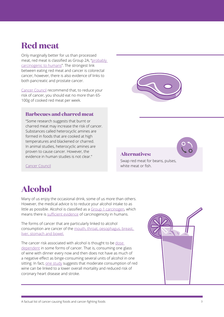### **Red meat**

Only marginally better for us than processed meat, red meat is classified as Group 2A, ["probably](https://www.who.int/features/qa/cancer-red-meat/en/)  [carcinogenic to humans"](https://www.who.int/features/qa/cancer-red-meat/en/). The strongest link between eating red meat and cancer is colorectal cancer, however, there is also evidence of links to both pancreatic and prostate cancer.

[Cancer Council](https://wiki.cancer.org.au/policy/Position_statement_-_Meat_and_cancer_prevention) recommend that, to reduce your risk of cancer, you should eat no more than 65- 100g of cooked red meat per week.

#### **Barbecues and charred meat**

"Some research suggests that burnt or charred meat may increase the risk of cancer. Substances called heterocyclic amines are formed in foods that are cooked at high temperatures and blackened or charred. In animal studies, heterocyclic amines are proven to cause cancer. However, the evidence in human studies is not clear."



#### **Alternatives:**

Swap red meat for beans, pulses, white meat or fish.

[Cancer Council](https://www.cancercouncil.com.au/21639/cancer-prevention/diet-exercise/nutrition-diet/fruit-vegetables/meat-and-cancer/)

#### **Alcohol**

Many of us enjoy the occasional drink, some of us more than others. However, the medical advice is to reduce your alcohol intake to as little as possible. Alcohol is classified as a [Group 1 carcinogen,](https://monographs.iarc.fr/list-of-classifications) which means there is [sufficient evidence](https://publications.iarc.fr/62) of carcinogenicity in humans.

The forms of cancer that are particularly linked to alcohol consumption are cancer of the [mouth, throat, oesophagus, breast,](https://www.cancerresearchuk.org/about-cancer/causes-of-cancer/alcohol-and-cancer/does-alcohol-cause-cancer)  [liver, stomach and bowel.](https://www.cancerresearchuk.org/about-cancer/causes-of-cancer/alcohol-and-cancer/does-alcohol-cause-cancer)

The cancer risk associated with alcohol is thought to be dose [dependent](https://www.ncbi.nlm.nih.gov/pubmed/27039752) in some forms of cancer. That is, consuming one glass of wine with dinner every now and then does not have as much of a negative effect as binge-consuming several units of alcohol in one sitting. In fact, [one study](https://pubs.niaaa.nih.gov/publications/arh23-1/15-24.pdf) suggests that moderate consumption of red wine can be linked to a lower overall mortality and reduced risk of coronary heart disease and stroke.

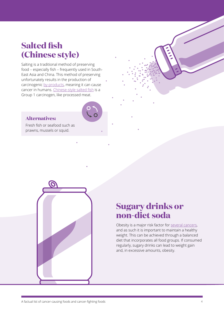### **Salted fish (Chinese style)**

Salting is a traditional method of preserving food – especially fish – frequently used in South-East Asia and China. This method of preserving unfortunately results in the production of carcinogenic [by-products,](https://www.wcrf.org/sites/default/files/Preservation-and-processing-of-foods.pdf) meaning it can cause cancer in humans. [Chinese-style salted fish](https://www.ncbi.nlm.nih.gov/books/NBK304384/) is a Group 1 carcinogen, like processed meat.

#### **Alternatives:**

Fresh fish or seafood such as prawns, mussels or squid.



#### **Sugary drinks or non-diet soda**

Obesity is a major risk factor for [several cancers](https://www.cancerresearchuk.org/about-cancer/causes-of-cancer/obesity-weight-and-cancer/does-obesity-cause-cancer), and as such it is important to maintain a healthy weight. This can be achieved through a balanced diet that incorporates all food groups. If consumed regularly, sugary drinks can lead to weight gain and, in excessive amounts, obesity.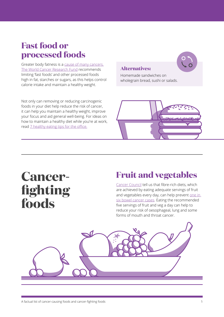#### **Fast food or processed foods**

Greater body fatness is a [cause of many cancers.](https://www.wcrf.org/dietandcancer/recommendations/limit-fast-foods-fat-sugar)  [The World Cancer Research Fund](https://www.wcrf.org/dietandcancer/recommendations/limit-fast-foods-fat-sugar) recommends limiting 'fast foods' and other processed foods high in fat, starches or sugars, as this helps control calorie intake and maintain a healthy weight.

Not only can removing or reducing carcinogenic foods in your diet help reduce the risk of cancer, it can help you maintain a healthy weight, improve your focus and aid general well-being. For ideas on how to maintain a healthy diet while you're at work, read [7 healthy eating tips for the office.](https://www.aetnainternational.com/en/about-us/explore/fit-for-duty-corporate-wellness/eat-healthy-at-work-7-healthy-eating-tips-for-the-office.html)

#### **Alternatives:**

Homemade sandwiches on wholegrain bread, sushi or salads.



## **Cancerfighting foods**

### **Fruit and vegetables**

[Cancer Council](https://www.cancercouncil.com.au/1in3cancers/lifestyle-choices-and-cancer/fruit-vegetables-and-cancer/#Y0hJhUflOkjOLj6p.99) tell us that fibre-rich diets, which are achieved by eating adequate servings of fruit and vegetables every day, can help prevent one in [six bowel cancer cases](https://www.cancercouncil.com.au/1in3cancers/lifestyle-choices-and-cancer/fruit-vegetables-and-cancer/#Y0hJhUflOkjOLj6p.99). Eating the recommended five servings of fruit and veg a day can help to reduce your risk of oesophageal, lung and some forms of mouth and throat cancer.

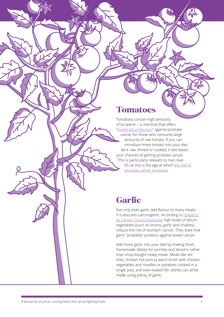#### **Tomatoes**

Tomatoes contain high amounts of lycopene – a chemical that offers "[moderate protection](https://www.cancercouncil.com.au/1in3cancers/lifestyle-choices-and-cancer/fruit-vegetables-and-cancer/#Y0hJhUflOkjOLj6p.99)" against prostate cancer for those who consume large amounts of raw tomato. If you can introduce more tomato into your diet, be it raw, tinned or cooked, it decreases your chances of getting prostate cancer. This is particularly relevant to men over 50, as this is the age at which the risk of [prostate cancer increases](https://prostatecanceruk.org/prostate-information/are-you-at-risk).

### **Garlic**

Not only does garlic add flavour to many meals, it is also anti-carcinogenic. According to research [by Cancer Council Australia](https://wiki.cancer.org.au/policy/Position_statement_-_Fruit,_vegetables_and_cancer_prevention), high levels of allium vegetables (such as onions, garlic and shallots) reduce the risk of stomach cancer. They state that garlic "probably" protects against bowel cancer.

Add more garlic into your diet by making fresh, homemade dishes for lunches and dinners rather than shop-bought ready meals. Meals like stirfries, chicken hot pots (a warm broth with chicken, vegetables and noodles or potatoes cooked in a single pot), and oven-baked fish dishes can all be made using plenty of garlic.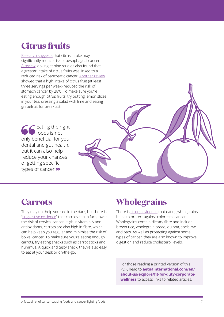### **Citrus fruits**

[Research suggests](https://www.ncbi.nlm.nih.gov/pmc/articles/PMC4616874/) that citrus intake may significantly reduce risk of oesophageal cancer. [A review](https://www.ncbi.nlm.nih.gov/pubmed/18824947) looking at nine studies also found that a greater intake of citrus fruits was linked to a reduced risk of pancreatic cancer. [Another review](https://www.ncbi.nlm.nih.gov/pubmed/18373174)  showed that a high intake of citrus fruit (at least three servings per week) reduced the risk of stomach cancer by 28%. To make sure you're eating enough citrus fruits, try putting lemon slices in your tea, dressing a salad with lime and eating grapefruit for breakfast.

Eating the right foods is not only beneficial for your dental and gut health, but it can also help reduce your chances of getting specific types of cancer **99** 

### **Carrots**

They may not help you see in the dark, but there is "[suggestive evidence](https://wiki.cancer.org.au/policy/Position_statement_-_Fruit,_vegetables_and_cancer_prevention)" that carrots can in fact, lower the risk of cervical cancer. High in vitamin A and antioxidants, carrots are also high in fibre, which can help keep you regular and minimise the risk of bowel cancer. To make sure you're eating enough carrots, try eating snacks such as carrot sticks and hummus. A quick and tasty snack, they're also easy to eat at your desk or on-the-go.

### **Wholegrains**

There is [strong evidence](https://www.wcrf.org/sites/default/files/Wholegrains-veg-and-fruit.pdf) that eating wholegrains helps to protect against colorectal cancer. Wholegrains contain dietary fibre and include brown rice, wholegrain bread, quinoa, spelt, rye and oats. As well as protecting against some types of cancer, they are also known to improve digestion and reduce cholesterol levels.

For those reading a printed version of this PDF, head to **[aetnainternational.com/en/](http://aetnainternational.com/en/about-us/explore/fit-for-duty-corporate-wellness)  [about-us/explore/fit-for-duty-corporate](http://aetnainternational.com/en/about-us/explore/fit-for-duty-corporate-wellness)[wellness](http://aetnainternational.com/en/about-us/explore/fit-for-duty-corporate-wellness)** to access links to related articles.